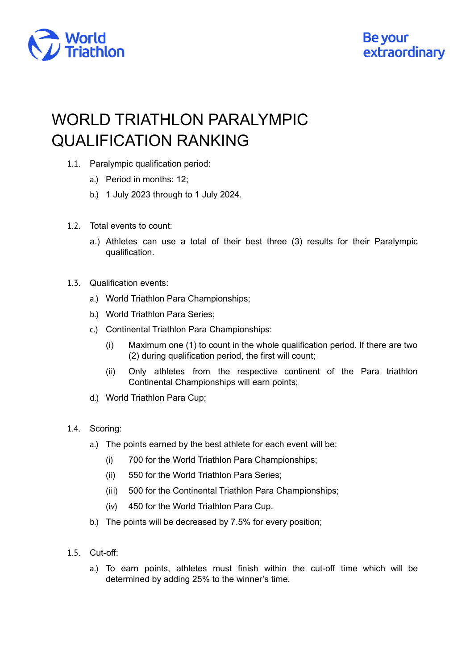

## WORLD TRIATHLON PARALYMPIC QUALIFICATION RANKING

- 1.1. Paralympic qualification period:
	- a.) Period in months: 12;
	- b.) 1 July 2023 through to 1 July 2024.
- 1.2. Total events to count:
	- a.) Athletes can use a total of their best three (3) results for their Paralympic qualification.
- 1.3. Qualification events:
	- a.) World Triathlon Para Championships;
	- b.) World Triathlon Para Series;
	- c.) Continental Triathlon Para Championships:
		- (i) Maximum one (1) to count in the whole qualification period. If there are two (2) during qualification period, the first will count;
		- (ii) Only athletes from the respective continent of the Para triathlon Continental Championships will earn points;
	- d.) World Triathlon Para Cup;
- 1.4. Scoring:
	- a.) The points earned by the best athlete for each event will be:
		- (i) 700 for the World Triathlon Para Championships;
		- (ii) 550 for the World Triathlon Para Series;
		- (iii) 500 for the Continental Triathlon Para Championships;
		- (iv) 450 for the World Triathlon Para Cup.
	- b.) The points will be decreased by 7.5% for every position;
- 1.5. Cut-off:
	- a.) To earn points, athletes must finish within the cut-off time which will be determined by adding 25% to the winner's time.